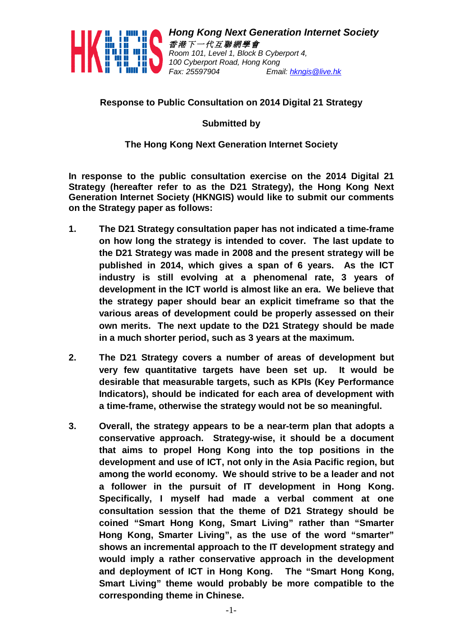

*Hong Kong Next Generation Internet Society 香 港 下 <sup>一</sup> 代 互 聯 網 學 會 Room 101, Level 1, Block B Cyberport 4, 100 Cyberport Road, Hong Kong Fax: 25597904 Email: hkngis@live.hk*

## **Response to Public Consultation on 2014 Digital 21 Strategy**

**Submitted by**

## **The Hong Kong Next Generation Internet Society**

**In response to the public consultation exercise on the 2014 Digital 21 Strategy (hereafter refer to as the D21 Strategy), the Hong Kong Next Generation Internet Society (HKNGIS) would like to submit our comments on the Strategy paper as follows:**

- **1. The D21 Strategy consultation paper has not indicated a time-frame on how long the strategy is intended to cover. The last update to the D21 Strategy was made in 2008 and the present strategy will be published in 2014, which gives a span of 6 years. As the ICT industry is still evolving at a phenomenal rate, 3 years of development in the ICT world is almost like an era. We believe that the strategy paper should bear an explicit timeframe so that the various areas of development could be properly assessed on their own merits. The next update to the D21 Strategy should be made in a much shorter period, such as 3 years at the maximum.**
- **2. The D21 Strategy covers a number of areas of development but very few quantitative targets have been set up. It would be desirable that measurable targets, such as KPIs (Key Performance Indicators), should be indicated for each area of development with a time-frame, otherwise the strategy would not be so meaningful.**
- **3. Overall, the strategy appears to be a near-term plan that adopts a conservative approach. Strategy-wise, it should be a document that aims to propel Hong Kong into the top positions in the development and use of ICT, not only in the Asia Pacific region, but among the world economy. We should strive to be a leader and not a follower in the pursuit of IT development in Hong Kong. Specifically, I myself had made a verbal comment at one consultation session that the theme of D21 Strategy should be coined "Smart Hong Kong, Smart Living" rather than "Smarter Hong Kong, Smarter Living", as the use of the word "smarter" shows an incremental approach to the IT development strategy and would imply a rather conservative approach in the development and deployment of ICT in Hong Kong. The "Smart Hong Kong, Smart Living" theme would probably be more compatible to the corresponding theme in Chinese.**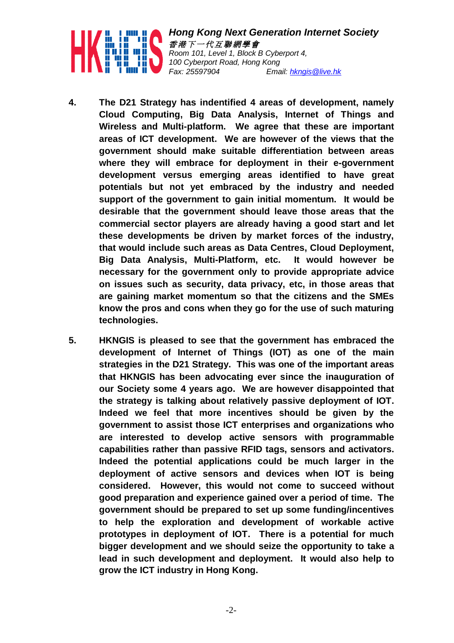

*Hong Kong Next Generation Internet Society 香 港 下 <sup>一</sup> 代 互 聯 網 學 會 Room 101, Level 1, Block B Cyberport 4, 100 Cyberport Road, Hong Kong Fax: 25597904 Email: hkngis@live.hk*

- **4. The D21 Strategy has indentified 4 areas of development, namely Cloud Computing, Big Data Analysis, Internet of Things and Wireless and Multi-platform. We agree that these are important areas of ICT development. We are however of the views that the government should make suitable differentiation between areas where they will embrace for deployment in their e-government development versus emerging areas identified to have great potentials but not yet embraced by the industry and needed support of the government to gain initial momentum. It would be desirable that the government should leave those areas that the commercial sector players are already having a good start and let these developments be driven by market forces of the industry, that would include such areas as Data Centres, Cloud Deployment, Big Data Analysis, Multi-Platform, etc. It would however be necessary for the government only to provide appropriate advice on issues such as security, data privacy, etc, in those areas that are gaining market momentum so that the citizens and the SMEs know the pros and cons when they go for the use of such maturing technologies.**
- **5. HKNGIS is pleased to see that the government has embraced the development of Internet of Things (IOT) as one of the main strategies in the D21 Strategy. This was one of the important areas that HKNGIS has been advocating ever since the inauguration of our Society some 4 years ago. We are however disappointed that the strategy is talking about relatively passive deployment of IOT. Indeed we feel that more incentives should be given by the government to assist those ICT enterprises and organizations who are interested to develop active sensors with programmable capabilities rather than passive RFID tags, sensors and activators. Indeed the potential applications could be much larger in the deployment of active sensors and devices when IOT is being considered. However, this would not come to succeed without good preparation and experience gained over a period of time. The government should be prepared to set up some funding/incentives to help the exploration and development of workable active prototypes in deployment of IOT. There is a potential for much bigger development and we should seize the opportunity to take a lead in such development and deployment. It would also help to grow the ICT industry in Hong Kong.**